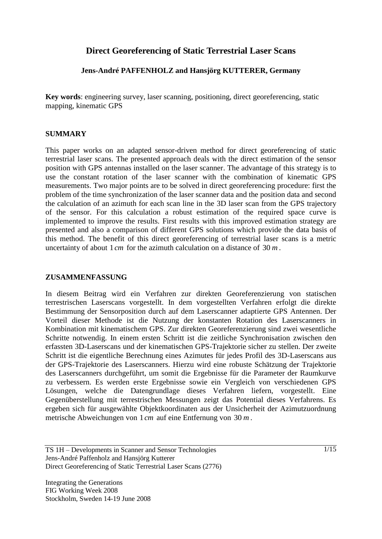# **Direct Georeferencing of Static Terrestrial Laser Scans**

### **Jens-André PAFFENHOLZ and Hansjörg KUTTERER, Germany**

**Key words**: engineering survey, laser scanning, positioning, direct georeferencing, static mapping, kinematic GPS

#### **SUMMARY**

This paper works on an adapted sensor-driven method for direct georeferencing of static terrestrial laser scans. The presented approach deals with the direct estimation of the sensor position with GPS antennas installed on the laser scanner. The advantage of this strategy is to use the constant rotation of the laser scanner with the combination of kinematic GPS measurements. Two major points are to be solved in direct georeferencing procedure: first the problem of the time synchronization of the laser scanner data and the position data and second the calculation of an azimuth for each scan line in the 3D laser scan from the GPS trajectory of the sensor. For this calculation a robust estimation of the required space curve is implemented to improve the results. First results with this improved estimation strategy are presented and also a comparison of different GPS solutions which provide the data basis of this method. The benefit of this direct georeferencing of terrestrial laser scans is a metric uncertainty of about 1*cm* for the azimuth calculation on a distance of 30 *m* .

#### **ZUSAMMENFASSUNG**

In diesem Beitrag wird ein Verfahren zur direkten Georeferenzierung von statischen terrestrischen Laserscans vorgestellt. In dem vorgestellten Verfahren erfolgt die direkte Bestimmung der Sensorposition durch auf dem Laserscanner adaptierte GPS Antennen. Der Vorteil dieser Methode ist die Nutzung der konstanten Rotation des Laserscanners in Kombination mit kinematischem GPS. Zur direkten Georeferenzierung sind zwei wesentliche Schritte notwendig. In einem ersten Schritt ist die zeitliche Synchronisation zwischen den erfassten 3D-Laserscans und der kinematischen GPS-Trajektorie sicher zu stellen. Der zweite Schritt ist die eigentliche Berechnung eines Azimutes für jedes Profil des 3D-Laserscans aus der GPS-Trajektorie des Laserscanners. Hierzu wird eine robuste Schätzung der Trajektorie des Laserscanners durchgeführt, um somit die Ergebnisse für die Parameter der Raumkurve zu verbessern. Es werden erste Ergebnisse sowie ein Vergleich von verschiedenen GPS Lösungen, welche die Datengrundlage dieses Verfahren liefern, vorgestellt. Eine Gegenüberstellung mit terrestrischen Messungen zeigt das Potential dieses Verfahrens. Es ergeben sich für ausgewählte Objektkoordinaten aus der Unsicherheit der Azimutzuordnung metrische Abweichungen von 1*cm* auf eine Entfernung von 30 *m* .

TS 1H – Developments in Scanner and Sensor Technologies Jens-André Paffenholz and Hansjörg Kutterer Direct Georeferencing of Static Terrestrial Laser Scans (2776)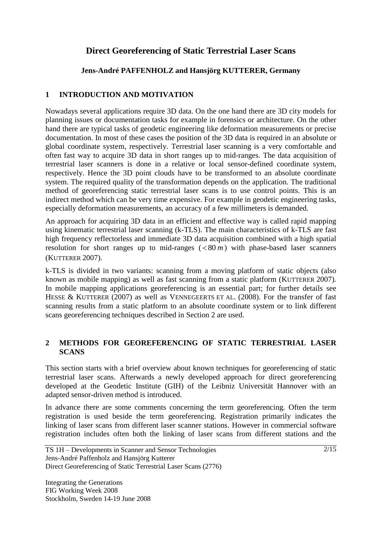# **Direct Georeferencing of Static Terrestrial Laser Scans**

## **Jens-André PAFFENHOLZ and Hansjörg KUTTERER, Germany**

### **1 INTRODUCTION AND MOTIVATION**

Nowadays several applications require 3D data. On the one hand there are 3D city models for planning issues or documentation tasks for example in forensics or architecture. On the other hand there are typical tasks of geodetic engineering like deformation measurements or precise documentation. In most of these cases the position of the 3D data is required in an absolute or global coordinate system, respectively. Terrestrial laser scanning is a very comfortable and often fast way to acquire 3D data in short ranges up to mid-ranges. The data acquisition of terrestrial laser scanners is done in a relative or local sensor-defined coordinate system, respectively. Hence the 3D point clouds have to be transformed to an absolute coordinate system. The required quality of the transformation depends on the application. The traditional method of georeferencing static terrestrial laser scans is to use control points. This is an indirect method which can be very time expensive. For example in geodetic engineering tasks, especially deformation measurements, an accuracy of a few millimeters is demanded.

An approach for acquiring 3D data in an efficient and effective way is called rapid mapping using kinematic terrestrial laser scanning (k-TLS). The main characteristics of k-TLS are fast high frequency reflectorless and immediate 3D data acquisition combined with a high spatial resolution for short ranges up to mid-ranges  $( $80 \, m$ )$  with phase-based laser scanners (KUTTERER 2007).

k-TLS is divided in two variants: scanning from a moving platform of static objects (also known as mobile mapping) as well as fast scanning from a static platform (KUTTERER 2007). In mobile mapping applications georeferencing is an essential part; for further details see HESSE & KUTTERER (2007) as well as VENNEGEERTS ET AL. (2008). For the transfer of fast scanning results from a static platform to an absolute coordinate system or to link different scans georeferencing techniques described in Section 2 are used.

### **2 METHODS FOR GEOREFERENCING OF STATIC TERRESTRIAL LASER SCANS**

This section starts with a brief overview about known techniques for georeferencing of static terrestrial laser scans. Afterwards a newly developed approach for direct georeferencing developed at the Geodetic Institute (GIH) of the Leibniz Universität Hannover with an adapted sensor-driven method is introduced.

In advance there are some comments concerning the term georeferencing. Often the term registration is used beside the term georeferencing. Registration primarily indicates the linking of laser scans from different laser scanner stations. However in commercial software registration includes often both the linking of laser scans from different stations and the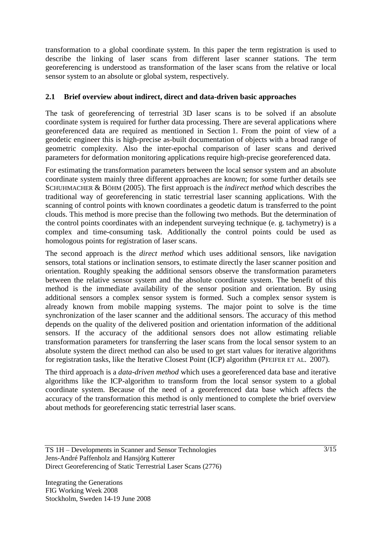transformation to a global coordinate system. In this paper the term registration is used to describe the linking of laser scans from different laser scanner stations. The term georeferencing is understood as transformation of the laser scans from the relative or local sensor system to an absolute or global system, respectively.

### **2.1 Brief overview about indirect, direct and data-driven basic approaches**

The task of georeferencing of terrestrial 3D laser scans is to be solved if an absolute coordinate system is required for further data processing. There are several applications where georeferenced data are required as mentioned in Section 1. From the point of view of a geodetic engineer this is high-precise as-built documentation of objects with a broad range of geometric complexity. Also the inter-epochal comparison of laser scans and derived parameters for deformation monitoring applications require high-precise georeferenced data.

For estimating the transformation parameters between the local sensor system and an absolute coordinate system mainly three different approaches are known; for some further details see SCHUHMACHER & BÖHM (2005). The first approach is the *indirect method* which describes the traditional way of georeferencing in static terrestrial laser scanning applications. With the scanning of control points with known coordinates a geodetic datum is transferred to the point clouds. This method is more precise than the following two methods. But the determination of the control points coordinates with an independent surveying technique (e. g. tachymetry) is a complex and time-consuming task. Additionally the control points could be used as homologous points for registration of laser scans.

The second approach is the *direct method* which uses additional sensors, like navigation sensors, total stations or inclination sensors, to estimate directly the laser scanner position and orientation. Roughly speaking the additional sensors observe the transformation parameters between the relative sensor system and the absolute coordinate system. The benefit of this method is the immediate availability of the sensor position and orientation. By using additional sensors a complex sensor system is formed. Such a complex sensor system is already known from mobile mapping systems. The major point to solve is the time synchronization of the laser scanner and the additional sensors. The accuracy of this method depends on the quality of the delivered position and orientation information of the additional sensors. If the accuracy of the additional sensors does not allow estimating reliable transformation parameters for transferring the laser scans from the local sensor system to an absolute system the direct method can also be used to get start values for iterative algorithms for registration tasks, like the Iterative Closest Point (ICP) algorithm (PFEIFER ET AL. 2007).

The third approach is a *data-driven method* which uses a georeferenced data base and iterative algorithms like the ICP-algorithm to transform from the local sensor system to a global coordinate system. Because of the need of a georeferenced data base which affects the accuracy of the transformation this method is only mentioned to complete the brief overview about methods for georeferencing static terrestrial laser scans.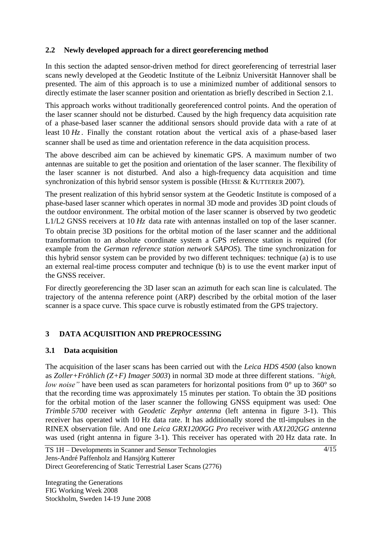### **2.2 Newly developed approach for a direct georeferencing method**

In this section the adapted sensor-driven method for direct georeferencing of terrestrial laser scans newly developed at the Geodetic Institute of the Leibniz Universität Hannover shall be presented. The aim of this approach is to use a minimized number of additional sensors to directly estimate the laser scanner position and orientation as briefly described in Section 2.1.

This approach works without traditionally georeferenced control points. And the operation of the laser scanner should not be disturbed. Caused by the high frequency data acquisition rate of a phase-based laser scanner the additional sensors should provide data with a rate of at least 10 *Hz*. Finally the constant rotation about the vertical axis of a phase-based laser scanner shall be used as time and orientation reference in the data acquisition process.

The above described aim can be achieved by kinematic GPS. A maximum number of two antennas are suitable to get the position and orientation of the laser scanner. The flexibility of the laser scanner is not disturbed. And also a high-frequency data acquisition and time synchronization of this hybrid sensor system is possible (HESSE & KUTTERER 2007).

The present realization of this hybrid sensor system at the Geodetic Institute is composed of a phase-based laser scanner which operates in normal 3D mode and provides 3D point clouds of the outdoor environment. The orbital motion of the laser scanner is observed by two geodetic L1/L2 GNSS receivers at 10  $H<sub>z</sub>$  data rate with antennas installed on top of the laser scanner. To obtain precise 3D positions for the orbital motion of the laser scanner and the additional transformation to an absolute coordinate system a GPS reference station is required (for example from the *German reference station network SAPOS*). The time synchronization for this hybrid sensor system can be provided by two different techniques: technique (a) is to use an external real-time process computer and technique (b) is to use the event marker input of the GNSS receiver.

For directly georeferencing the 3D laser scan an azimuth for each scan line is calculated. The trajectory of the antenna reference point (ARP) described by the orbital motion of the laser scanner is a space curve. This space curve is robustly estimated from the GPS trajectory.

## **3 DATA ACQUISITION AND PREPROCESSING**

### **3.1 Data acquisition**

The acquisition of the laser scans has been carried out with the *Leica HDS 4500* (also known as *Zoller+Fröhlich (Z+F) Imager 5003*) in normal 3D mode at three different stations. *"high, low noise*" have been used as scan parameters for horizontal positions from 0° up to 360° so that the recording time was approximately 15 minutes per station. To obtain the 3D positions for the orbital motion of the laser scanner the following GNSS equipment was used: One *Trimble 5700* receiver with *Geodetic Zephyr antenna* (left antenna in figure 3-1). This receiver has operated with 10 Hz data rate. It has additionally stored the ttl-impulses in the RINEX observation file. And one *Leica GRX1200GG Pro* receiver with *AX1202GG antenna* was used (right antenna in figure 3-1). This receiver has operated with 20 Hz data rate. In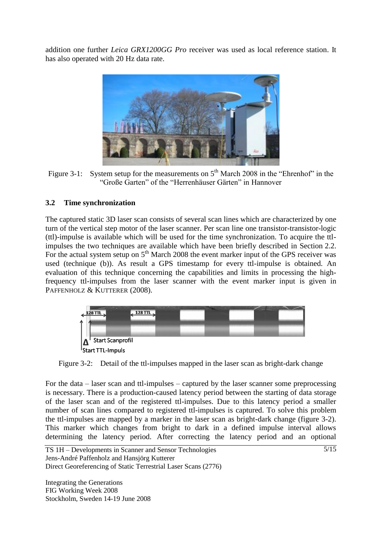addition one further *Leica GRX1200GG Pro* receiver was used as local reference station. It has also operated with 20 Hz data rate.



Figure 3-1: System setup for the measurements on  $5<sup>th</sup>$  March 2008 in the "Ehrenhof" in the "Große Garten" of the "Herrenhäuser Gärten" in Hannover

### **3.2 Time synchronization**

The captured static 3D laser scan consists of several scan lines which are characterized by one turn of the vertical step motor of the laser scanner. Per scan line one transistor-transistor-logic (ttl)-impulse is available which will be used for the time synchronization. To acquire the ttlimpulses the two techniques are available which have been briefly described in Section 2.2. For the actual system setup on  $5<sup>th</sup>$  March 2008 the event marker input of the GPS receiver was used (technique (b)). As result a GPS timestamp for every ttl-impulse is obtained. An evaluation of this technique concerning the capabilities and limits in processing the highfrequency ttl-impulses from the laser scanner with the event marker input is given in PAFFENHOLZ & KUTTERER (2008).



Figure 3-2: Detail of the ttl-impulses mapped in the laser scan as bright-dark change

For the data – laser scan and ttl-impulses – captured by the laser scanner some preprocessing is necessary. There is a production-caused latency period between the starting of data storage of the laser scan and of the registered ttl-impulses. Due to this latency period a smaller number of scan lines compared to registered ttl-impulses is captured. To solve this problem the ttl-impulses are mapped by a marker in the laser scan as bright-dark change (figure 3-2). This marker which changes from bright to dark in a defined impulse interval allows determining the latency period. After correcting the latency period and an optional

TS 1H – Developments in Scanner and Sensor Technologies Jens-André Paffenholz and Hansjörg Kutterer Direct Georeferencing of Static Terrestrial Laser Scans (2776)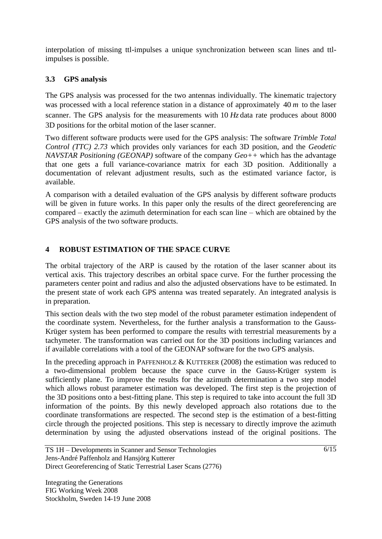interpolation of missing ttl-impulses a unique synchronization between scan lines and ttlimpulses is possible.

# **3.3 GPS analysis**

The GPS analysis was processed for the two antennas individually. The kinematic trajectory was processed with a local reference station in a distance of approximately 40 *m* to the laser scanner. The GPS analysis for the measurements with 10  $H<sub>z</sub>$  data rate produces about 8000 3D positions for the orbital motion of the laser scanner.

Two different software products were used for the GPS analysis: The software *Trimble Total Control (TTC) 2.73* which provides only variances for each 3D position, and the *Geodetic NAVSTAR Positioning (GEONAP)* software of the company *Geo++* which has the advantage that one gets a full variance-covariance matrix for each 3D position. Additionally a documentation of relevant adjustment results, such as the estimated variance factor, is available.

A comparison with a detailed evaluation of the GPS analysis by different software products will be given in future works. In this paper only the results of the direct georeferencing are compared – exactly the azimuth determination for each scan line – which are obtained by the GPS analysis of the two software products.

# **4 ROBUST ESTIMATION OF THE SPACE CURVE**

The orbital trajectory of the ARP is caused by the rotation of the laser scanner about its vertical axis. This trajectory describes an orbital space curve. For the further processing the parameters center point and radius and also the adjusted observations have to be estimated. In the present state of work each GPS antenna was treated separately. An integrated analysis is in preparation.

This section deals with the two step model of the robust parameter estimation independent of the coordinate system. Nevertheless, for the further analysis a transformation to the Gauss-Krüger system has been performed to compare the results with terrestrial measurements by a tachymeter. The transformation was carried out for the 3D positions including variances and if available correlations with a tool of the GEONAP software for the two GPS analysis.

In the preceding approach in PAFFENHOLZ  $&$  KUTTERER (2008) the estimation was reduced to a two-dimensional problem because the space curve in the Gauss-Krüger system is sufficiently plane. To improve the results for the azimuth determination a two step model which allows robust parameter estimation was developed. The first step is the projection of the 3D positions onto a best-fitting plane. This step is required to take into account the full 3D information of the points. By this newly developed approach also rotations due to the coordinate transformations are respected. The second step is the estimation of a best-fitting circle through the projected positions. This step is necessary to directly improve the azimuth determination by using the adjusted observations instead of the original positions. The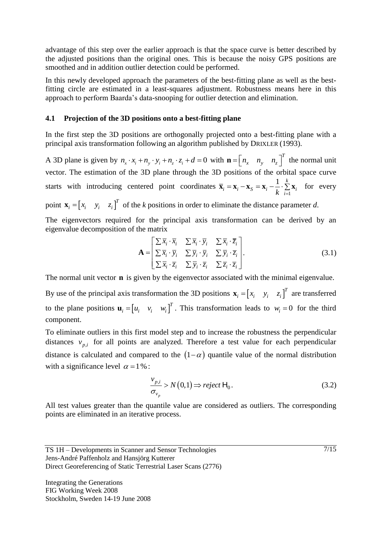advantage of this step over the earlier approach is that the space curve is better described by the adjusted positions than the original ones. This is because the noisy GPS positions are smoothed and in addition outlier detection could be performed.

In this newly developed approach the parameters of the best-fitting plane as well as the bestfitting circle are estimated in a least-squares adjustment. Robustness means here in this approach to perform Baarda's data-snooping for outlier detection and elimination.

#### **4.1 Projection of the 3D positions onto a best-fitting plane**

In the first step the 3D positions are orthogonally projected onto a best-fitting plane with a principal axis transformation following an algorithm published by DRIXLER (1993).

A 3D plane is given by  $n_x \cdot x_i + n_y \cdot y_i + n_z \cdot z_i + d = 0$  with  $\mathbf{n} = \begin{bmatrix} n_x & n_y & n_z \end{bmatrix}^T$  $\mathbf{n} = \begin{bmatrix} n_x & n_y & n_z \end{bmatrix}^T$  the normal unit vector. The estimation of the 3D plane through the 3D positions of the orbital space curve starts with introducing centered point coordinates 1 1 *<sup>k</sup>*  $\overline{\mathbf{x}}_i = \mathbf{x}_i - \mathbf{x}_S = \mathbf{x}_i - \frac{1}{k} \cdot \sum_{i=1}^k \mathbf{x}_i$  for every

point  $\mathbf{x}_i = \begin{bmatrix} x_i & y_i & z_i \end{bmatrix}^T$  of the *k* positions in order to eliminate the distance parameter *d*.

The eigenvectors required for the principal axis transformation can be derived by an eigenvalue decomposition of the matrix

$$
\mathbf{A} = \begin{bmatrix} \sum \overline{x}_i \cdot \overline{x}_i & \sum \overline{x}_i \cdot \overline{y}_i & \sum \overline{x}_i \cdot \overline{z}_i \\ \sum \overline{x}_i \cdot \overline{y}_i & \sum \overline{y}_i \cdot \overline{y}_i & \sum \overline{y}_i \cdot \overline{z}_i \\ \sum \overline{x}_i \cdot \overline{z}_i & \sum \overline{y}_i \cdot \overline{z}_i & \sum \overline{z}_i \cdot \overline{z}_i \end{bmatrix} .
$$
 (3.1)

The normal unit vector **n** is given by the eigenvector associated with the minimal eigenvalue.

By use of the principal axis transformation the 3D positions  $\mathbf{x}_i = \begin{bmatrix} x_i & y_i & z_i \end{bmatrix}^T$  are transferred to the plane positions  $\mathbf{u}_i = \begin{bmatrix} u_i & v_i & w_i \end{bmatrix}^T$ . This transformation leads to  $w_i = 0$  for the third component.

To eliminate outliers in this first model step and to increase the robustness the perpendicular distances  $v_{p,i}$  for all points are analyzed. Therefore a test value for each perpendicular distance is calculated and compared to the  $(1-\alpha)$  quantile value of the normal distribution with a significance level  $\alpha = 1\%$ :

$$
\frac{v_{p,i}}{\sigma_{v_p}} > N(0,1) \Rightarrow reject \mathsf{H}_0.
$$
\n(3.2)

All test values greater than the quantile value are considered as outliers. The corresponding points are eliminated in an iterative process.

TS 1H – Developments in Scanner and Sensor Technologies Jens-André Paffenholz and Hansjörg Kutterer Direct Georeferencing of Static Terrestrial Laser Scans (2776)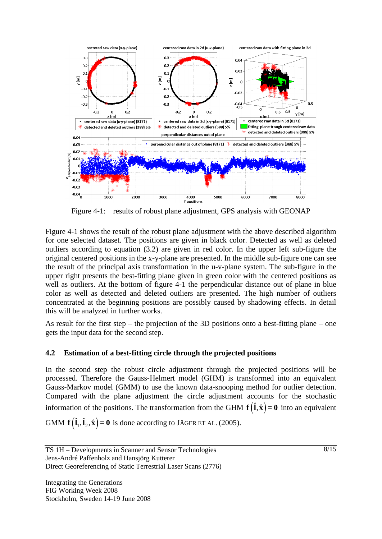

Figure 4-1: results of robust plane adjustment, GPS analysis with GEONAP

Figure 4-1 shows the result of the robust plane adjustment with the above described algorithm for one selected dataset. The positions are given in black color. Detected as well as deleted outliers according to equation (3.2) are given in red color. In the upper left sub-figure the original centered positions in the x-y-plane are presented. In the middle sub-figure one can see the result of the principal axis transformation in the u-v-plane system. The sub-figure in the upper right presents the best-fitting plane given in green color with the centered positions as well as outliers. At the bottom of figure 4-1 the perpendicular distance out of plane in blue color as well as detected and deleted outliers are presented. The high number of outliers concentrated at the beginning positions are possibly caused by shadowing effects. In detail this will be analyzed in further works.

As result for the first step – the projection of the 3D positions onto a best-fitting plane – one gets the input data for the second step.

### **4.2 Estimation of a best-fitting circle through the projected positions**

In the second step the robust circle adjustment through the projected positions will be processed. Therefore the Gauss-Helmert model (GHM) is transformed into an equivalent Gauss-Markov model (GMM) to use the known data-snooping method for outlier detection. Compared with the plane adjustment the circle adjustment accounts for the stochastic information of the positions. The transformation from the GHM  $f(\hat{i}, \hat{x}) = 0$  into an equivalent

GMM  $\mathbf{f}(\hat{\mathbf{l}}_1, \hat{\mathbf{l}}_2, \hat{\mathbf{x}}) = \mathbf{0}$  is done according to JÄGER ET AL. (2005).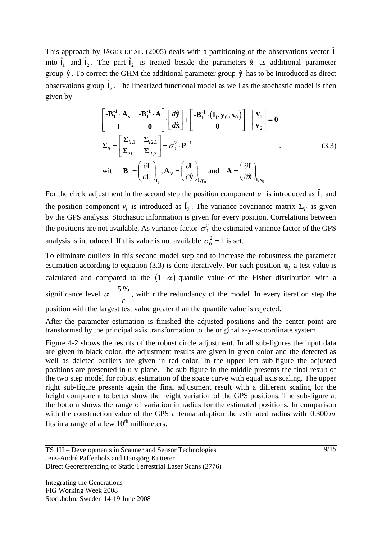This approach by JÄGER ET AL. (2005) deals with a partitioning of the observations vector  $\hat{\mathbf{l}}$ into  $\hat{\mathbf{l}}_1$  and  $\hat{\mathbf{l}}_2$ . The part  $\hat{\mathbf{l}}_2$  is treated beside the parameters  $\hat{\mathbf{x}}$  as additional parameter group  $\hat{y}$ . To correct the GHM the additional parameter group  $\hat{y}$  has to be introduced as direct observations group  $\hat{\mathbf{l}}_2$ . The linearized functional model as well as the stochastic model is then given by

$$
\begin{bmatrix}\n-\mathbf{B}_1^{-1} \cdot \mathbf{A}_y & -\mathbf{B}_1^{-1} \cdot \mathbf{A} \\
\mathbf{I} & \mathbf{0}\n\end{bmatrix}\n\cdot\n\begin{bmatrix}\nd\hat{\mathbf{y}} \\
d\hat{\mathbf{x}}\n\end{bmatrix}\n+\n\begin{bmatrix}\n-\mathbf{B}_1^{-1} \cdot (\mathbf{I}_1, \mathbf{y}_0, \mathbf{x}_0) \\
\mathbf{0}\n\end{bmatrix}\n-\n\begin{bmatrix}\n\mathbf{v}_1 \\
\mathbf{v}_2\n\end{bmatrix} = \mathbf{0}
$$
\n
$$
\Sigma_{ll} = \begin{bmatrix}\n\Sigma_{ll,1} & \Sigma_{l2,1} \\
\Sigma_{2l,1} & \Sigma_{ll,2}\n\end{bmatrix} = \sigma_0^2 \cdot \mathbf{P}^{-1}
$$
\nwith  $\mathbf{B}_1 = \left(\frac{\partial \mathbf{f}}{\partial \mathbf{I}_1}\right)_\mathbf{I}_1$ ,  $\mathbf{A}_y = \left(\frac{\partial \mathbf{f}}{\partial \hat{\mathbf{y}}}\right)_\mathbf{I}, \mathbf{y}_0$  and  $\mathbf{A} = \left(\frac{\partial \mathbf{f}}{\partial \hat{\mathbf{x}}}\right)_\mathbf{I}, \mathbf{x}_0$ \n(3.3)

For the circle adjustment in the second step the position component  $u_i$  is introduced as  $\hat{\mathbf{l}}_1$  and the position component  $v_i$  is introduced as  $\hat{\mathbf{l}}_2$ . The variance-covariance matrix  $\Sigma_{ll}$  is given by the GPS analysis. Stochastic information is given for every position. Correlations between the positions are not available. As variance factor  $\sigma_0^2$  the estimated variance factor of the GPS analysis is introduced. If this value is not available  $\sigma_0^2 = 1$  is set.

To eliminate outliers in this second model step and to increase the robustness the parameter estimation according to equation (3.3) is done iteratively. For each position  $\mathbf{u}_i$  a test value is calculated and compared to the  $(1-\alpha)$  quantile value of the Fisher distribution with a significance level  $\alpha = \frac{5\%}{2\%}$ *r*  $\alpha = \frac{3}{10}$ , with r the redundancy of the model. In every iteration step the position with the largest test value greater than the quantile value is rejected.

After the parameter estimation is finished the adjusted positions and the center point are transformed by the principal axis transformation to the original x-y-z-coordinate system.

Figure 4-2 shows the results of the robust circle adjustment. In all sub-figures the input data are given in black color, the adjustment results are given in green color and the detected as well as deleted outliers are given in red color. In the upper left sub-figure the adjusted positions are presented in u-v-plane. The sub-figure in the middle presents the final result of the two step model for robust estimation of the space curve with equal axis scaling. The upper right sub-figure presents again the final adjustment result with a different scaling for the height component to better show the height variation of the GPS positions. The sub-figure at the bottom shows the range of variation in radius for the estimated positions. In comparison with the construction value of the GPS antenna adaption the estimated radius with 0.300 *m* fits in a range of a few  $10<sup>th</sup>$  millimeters.

TS 1H – Developments in Scanner and Sensor Technologies Jens-André Paffenholz and Hansjörg Kutterer Direct Georeferencing of Static Terrestrial Laser Scans (2776)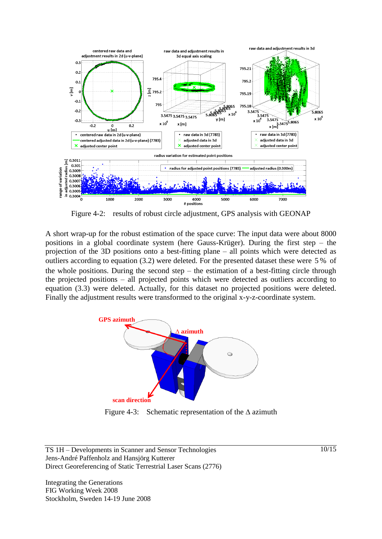

Figure 4-2: results of robust circle adjustment, GPS analysis with GEONAP

A short wrap-up for the robust estimation of the space curve: The input data were about 8000 positions in a global coordinate system (here Gauss-Krüger). During the first step – the projection of the 3D positions onto a best-fitting plane – all points which were detected as outliers according to equation (3.2) were deleted. For the presented dataset these were 5% of the whole positions. During the second step – the estimation of a best-fitting circle through the projected positions – all projected points which were detected as outliers according to equation (3.3) were deleted. Actually, for this dataset no projected positions were deleted. Finally the adjustment results were transformed to the original x-y-z-coordinate system.



Figure 4-3: Schematic representation of the  $\Delta$  azimuth

TS 1H – Developments in Scanner and Sensor Technologies Jens-André Paffenholz and Hansjörg Kutterer Direct Georeferencing of Static Terrestrial Laser Scans (2776)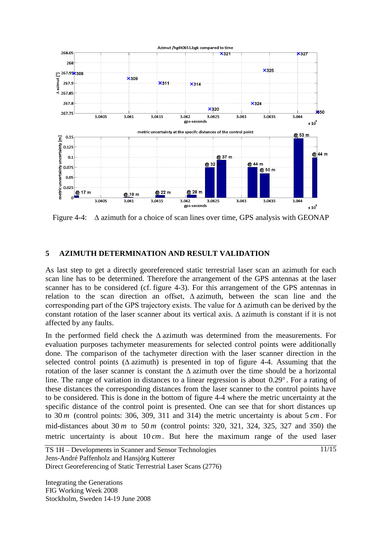

Figure 4-4: ∆ azimuth for a choice of scan lines over time, GPS analysis with GEONAP

### **5 AZIMUTH DETERMINATION AND RESULT VALIDATION**

As last step to get a directly georeferenced static terrestrial laser scan an azimuth for each scan line has to be determined. Therefore the arrangement of the GPS antennas at the laser scanner has to be considered (cf. figure 4-3). For this arrangement of the GPS antennas in relation to the scan direction an offset, ∆ azimuth, between the scan line and the corresponding part of the GPS trajectory exists. The value for ∆ azimuth can be derived by the constant rotation of the laser scanner about its vertical axis. ∆ azimuth is constant if it is not affected by any faults.

In the performed field check the ∆ azimuth was determined from the measurements. For evaluation purposes tachymeter measurements for selected control points were additionally done. The comparison of the tachymeter direction with the laser scanner direction in the selected control points ( $\Delta$  azimuth) is presented in top of figure 4-4. Assuming that the rotation of the laser scanner is constant the ∆ azimuth over the time should be a horizontal line. The range of variation in distances to a linear regression is about 0.29 . For a rating of these distances the corresponding distances from the laser scanner to the control points have to be considered. This is done in the bottom of figure 4-4 where the metric uncertainty at the specific distance of the control point is presented. One can see that for short distances up to 30 *m* (control points: 306, 309, 311 and 314) the metric uncertainty is about 5 *cm* . For mid-distances about 30 *m* to 50 *m* (control points: 320, 321, 324, 325, 327 and 350) the metric uncertainty is about 10 *cm* . But here the maximum range of the used laser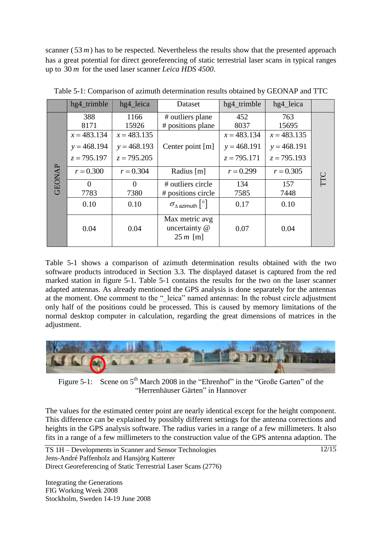scanner  $(53 m)$  has to be respected. Nevertheless the results show that the presented approach has a great potential for direct georeferencing of static terrestrial laser scans in typical ranges up to 30 *m* for the used laser scanner *Leica HDS 4500*.

|               | hg4_trimble   | hg4_leica     | Dataset                                       | hg4_trimble   | hg4_leica     |     |
|---------------|---------------|---------------|-----------------------------------------------|---------------|---------------|-----|
|               | 388           | 1166          | # outliers plane                              | 452           | 763           |     |
|               | 8171          | 15926         | # positions plane                             | 8037          | 15695         |     |
|               | $x = 483.134$ | $x = 483.135$ |                                               | $x = 483.134$ | $x = 483.135$ |     |
|               | $y = 468.194$ | $y = 468.193$ | Center point [m]                              | $y = 468.191$ | $y = 468.191$ |     |
|               | $z = 795.197$ | $z = 795.205$ |                                               | $z = 795.171$ | $z = 795.193$ |     |
| <b>GEONAP</b> | $r = 0.300$   | $r = 0.304$   | Radius [m]                                    | $r = 0.299$   | $r = 0.305$   | TTC |
|               | $\Omega$      | $\Omega$      | # outliers circle                             | 134           | 157           |     |
|               | 7783          | 7380          | # positions circle                            | 7585          | 7448          |     |
|               | 0.10          | 0.10          | $\sigma_{\Delta\,azimuth}$ [°]                | 0.17          | 0.10          |     |
|               | 0.04          | 0.04          | Max metric avg<br>uncertainty @<br>$25 m$ [m] | 0.07          | 0.04          |     |

Table 5-1: Comparison of azimuth determination results obtained by GEONAP and TTC

Table 5-1 shows a comparison of azimuth determination results obtained with the two software products introduced in Section 3.3. The displayed dataset is captured from the red marked station in figure 5-1. Table 5-1 contains the results for the two on the laser scanner adapted antennas. As already mentioned the GPS analysis is done separately for the antennas at the moment. One comment to the " leica" named antennas: In the robust circle adjustment only half of the positions could be processed. This is caused by memory limitations of the normal desktop computer in calculation, regarding the great dimensions of matrices in the adjustment.



Figure 5-1: Scene on  $5<sup>th</sup>$  March 2008 in the "Ehrenhof" in the "Große Garten" of the "Herrenhäuser Gärten" in Hannover

The values for the estimated center point are nearly identical except for the height component. This difference can be explained by possibly different settings for the antenna corrections and heights in the GPS analysis software. The radius varies in a range of a few millimeters. It also fits in a range of a few millimeters to the construction value of the GPS antenna adaption. The

TS 1H – Developments in Scanner and Sensor Technologies Jens-André Paffenholz and Hansjörg Kutterer Direct Georeferencing of Static Terrestrial Laser Scans (2776)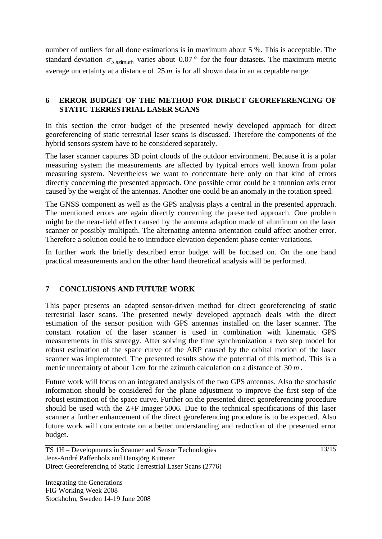number of outliers for all done estimations is in maximum about 5 %. This is acceptable. The standard deviation  $\sigma_{\Delta}$  azimuth varies about 0.07 ° for the four datasets. The maximum metric average uncertainty at a distance of 25 *m* is for all shown data in an acceptable range.

### **6 ERROR BUDGET OF THE METHOD FOR DIRECT GEOREFERENCING OF STATIC TERRESTRIAL LASER SCANS**

In this section the error budget of the presented newly developed approach for direct georeferencing of static terrestrial laser scans is discussed. Therefore the components of the hybrid sensors system have to be considered separately.

The laser scanner captures 3D point clouds of the outdoor environment. Because it is a polar measuring system the measurements are affected by typical errors well known from polar measuring system. Nevertheless we want to concentrate here only on that kind of errors directly concerning the presented approach. One possible error could be a trunnion axis error caused by the weight of the antennas. Another one could be an anomaly in the rotation speed.

The GNSS component as well as the GPS analysis plays a central in the presented approach. The mentioned errors are again directly concerning the presented approach. One problem might be the near-field effect caused by the antenna adaption made of aluminum on the laser scanner or possibly multipath. The alternating antenna orientation could affect another error. Therefore a solution could be to introduce elevation dependent phase center variations.

In further work the briefly described error budget will be focused on. On the one hand practical measurements and on the other hand theoretical analysis will be performed.

## **7 CONCLUSIONS AND FUTURE WORK**

This paper presents an adapted sensor-driven method for direct georeferencing of static terrestrial laser scans. The presented newly developed approach deals with the direct estimation of the sensor position with GPS antennas installed on the laser scanner. The constant rotation of the laser scanner is used in combination with kinematic GPS measurements in this strategy. After solving the time synchronization a two step model for robust estimation of the space curve of the ARP caused by the orbital motion of the laser scanner was implemented. The presented results show the potential of this method. This is a metric uncertainty of about  $1 \text{ cm}$  for the azimuth calculation on a distance of 30 m.

Future work will focus on an integrated analysis of the two GPS antennas. Also the stochastic information should be considered for the plane adjustment to improve the first step of the robust estimation of the space curve. Further on the presented direct georeferencing procedure should be used with the Z+F Imager 5006. Due to the technical specifications of this laser scanner a further enhancement of the direct georeferencing procedure is to be expected. Also future work will concentrate on a better understanding and reduction of the presented error budget.

TS 1H – Developments in Scanner and Sensor Technologies Jens-André Paffenholz and Hansjörg Kutterer Direct Georeferencing of Static Terrestrial Laser Scans (2776)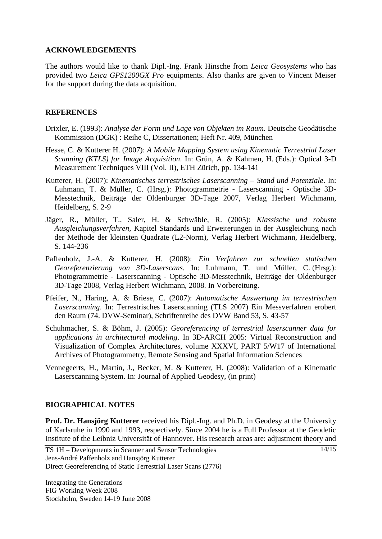#### **ACKNOWLEDGEMENTS**

The authors would like to thank Dipl.-Ing. Frank Hinsche from *Leica Geosystems* who has provided two *Leica GPS1200GX Pro* equipments. Also thanks are given to Vincent Meiser for the support during the data acquisition.

#### **REFERENCES**

- Drixler, E. (1993): *Analyse der Form und Lage von Objekten im Raum.* Deutsche Geodätische Kommission (DGK) : Reihe C, Dissertationen; Heft Nr. 409, München
- Hesse, C. & Kutterer H. (2007): *A Mobile Mapping System using Kinematic Terrestrial Laser Scanning (KTLS) for Image Acquisition*. In: Grün, A. & Kahmen, H. (Eds.): Optical 3-D Measurement Techniques VIII (Vol. II), ETH Zürich, pp. 134-141
- Kutterer, H. (2007): *Kinematisches terrestrisches Laserscanning – Stand und Potenziale*. In: Luhmann, T. & Müller, C. (Hrsg.): Photogrammetrie - Laserscanning - Optische 3D-Messtechnik, Beiträge der Oldenburger 3D-Tage 2007, Verlag Herbert Wichmann, Heidelberg, S. 2-9
- Jäger, R., Müller, T., Saler, H. & Schwäble, R. (2005): *Klassische und robuste Ausgleichungsverfahren,* Kapitel Standards und Erweiterungen in der Ausgleichung nach der Methode der kleinsten Quadrate (L2-Norm), Verlag Herbert Wichmann, Heidelberg, S. 144-236
- Paffenholz, J.-A. & Kutterer, H. (2008): *Ein Verfahren zur schnellen statischen Georeferenzierung von 3D-Laserscans*. In: Luhmann, T. und Müller, C. (Hrsg.): Photogrammetrie - Laserscanning - Optische 3D-Messtechnik, Beiträge der Oldenburger 3D-Tage 2008, Verlag Herbert Wichmann, 2008. In Vorbereitung.
- Pfeifer, N., Haring, A. & Briese, C. (2007): *Automatische Auswertung im terrestrischen Laserscanning*. In: Terrestrisches Laserscanning (TLS 2007) Ein Messverfahren erobert den Raum (74. DVW-Seminar), Schriftenreihe des DVW Band 53, S. 43-57
- Schuhmacher, S. & Böhm, J. (2005): *Georeferencing of terrestrial laserscanner data for applications in architectural modeling*. In 3D-ARCH 2005: Virtual Reconstruction and Visualization of Complex Architectures, volume XXXVI, PART 5/W17 of International Archives of Photogrammetry, Remote Sensing and Spatial Information Sciences
- Vennegeerts, H., Martin, J., Becker, M. & Kutterer, H. (2008): Validation of a Kinematic Laserscanning System. In: Journal of Applied Geodesy, (in print)

### **BIOGRAPHICAL NOTES**

**Prof. Dr. Hansjörg Kutterer** received his Dipl.-Ing. and Ph.D. in Geodesy at the University of Karlsruhe in 1990 and 1993, respectively. Since 2004 he is a Full Professor at the Geodetic Institute of the Leibniz Universität of Hannover. His research areas are: adjustment theory and